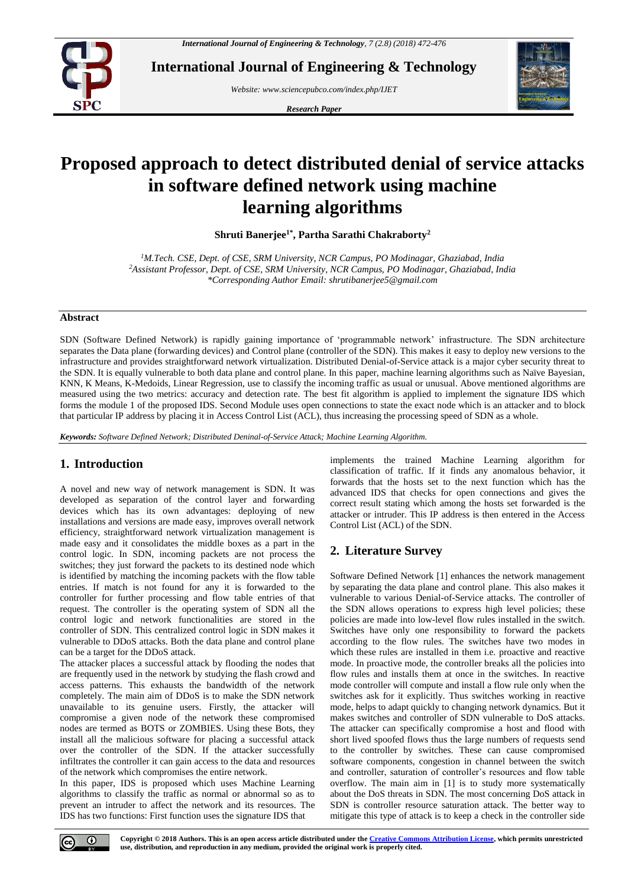

**International Journal of Engineering & Technology**

*Website: www.sciencepubco.com/index.php/IJET*

*Research Paper*



# **Proposed approach to detect distributed denial of service attacks in software defined network using machine learning algorithms**

**Shruti Banerjee1\* , Partha Sarathi Chakraborty<sup>2</sup>**

*<sup>1</sup>M.Tech. CSE, Dept. of CSE, SRM University, NCR Campus, PO Modinagar, Ghaziabad, India <sup>2</sup>Assistant Professor, Dept. of CSE, SRM University, NCR Campus, PO Modinagar, Ghaziabad, India \*Corresponding Author Email: shrutibanerjee5@gmail.com*

# **Abstract**

SDN (Software Defined Network) is rapidly gaining importance of 'programmable network' infrastructure. The SDN architecture separates the Data plane (forwarding devices) and Control plane (controller of the SDN). This makes it easy to deploy new versions to the infrastructure and provides straightforward network virtualization. Distributed Denial-of-Service attack is a major cyber security threat to the SDN. It is equally vulnerable to both data plane and control plane. In this paper, machine learning algorithms such as Naïve Bayesian, KNN, K Means, K-Medoids, Linear Regression, use to classify the incoming traffic as usual or unusual. Above mentioned algorithms are measured using the two metrics: accuracy and detection rate. The best fit algorithm is applied to implement the signature IDS which forms the module 1 of the proposed IDS. Second Module uses open connections to state the exact node which is an attacker and to block that particular IP address by placing it in Access Control List (ACL), thus increasing the processing speed of SDN as a whole.

*Keywords: Software Defined Network; Distributed Deninal-of-Service Attack; Machine Learning Algorithm.*

# **1. Introduction**

A novel and new way of network management is SDN. It was developed as separation of the control layer and forwarding devices which has its own advantages: deploying of new installations and versions are made easy, improves overall network efficiency, straightforward network virtualization management is made easy and it consolidates the middle boxes as a part in the control logic. In SDN, incoming packets are not process the switches; they just forward the packets to its destined node which is identified by matching the incoming packets with the flow table entries. If match is not found for any it is forwarded to the controller for further processing and flow table entries of that request. The controller is the operating system of SDN all the control logic and network functionalities are stored in the controller of SDN. This centralized control logic in SDN makes it vulnerable to DDoS attacks. Both the data plane and control plane can be a target for the DDoS attack.

The attacker places a successful attack by flooding the nodes that are frequently used in the network by studying the flash crowd and access patterns. This exhausts the bandwidth of the network completely. The main aim of DDoS is to make the SDN network unavailable to its genuine users. Firstly, the attacker will compromise a given node of the network these compromised nodes are termed as BOTS or ZOMBIES. Using these Bots, they install all the malicious software for placing a successful attack over the controller of the SDN. If the attacker successfully infiltrates the controller it can gain access to the data and resources of the network which compromises the entire network.

In this paper, IDS is proposed which uses Machine Learning algorithms to classify the traffic as normal or abnormal so as to prevent an intruder to affect the network and its resources. The IDS has two functions: First function uses the signature IDS that

implements the trained Machine Learning algorithm for classification of traffic. If it finds any anomalous behavior, it forwards that the hosts set to the next function which has the advanced IDS that checks for open connections and gives the correct result stating which among the hosts set forwarded is the attacker or intruder. This IP address is then entered in the Access Control List (ACL) of the SDN.

# **2. Literature Survey**

Software Defined Network [1] enhances the network management by separating the data plane and control plane. This also makes it vulnerable to various Denial-of-Service attacks. The controller of the SDN allows operations to express high level policies; these policies are made into low-level flow rules installed in the switch. Switches have only one responsibility to forward the packets according to the flow rules. The switches have two modes in which these rules are installed in them i.e. proactive and reactive mode. In proactive mode, the controller breaks all the policies into flow rules and installs them at once in the switches. In reactive mode controller will compute and install a flow rule only when the switches ask for it explicitly. Thus switches working in reactive mode, helps to adapt quickly to changing network dynamics. But it makes switches and controller of SDN vulnerable to DoS attacks. The attacker can specifically compromise a host and flood with short lived spoofed flows thus the large numbers of requests send to the controller by switches. These can cause compromised software components, congestion in channel between the switch and controller, saturation of controller's resources and flow table overflow. The main aim in [1] is to study more systematically about the DoS threats in SDN. The most concerning DoS attack in SDN is controller resource saturation attack. The better way to mitigate this type of attack is to keep a check in the controller side

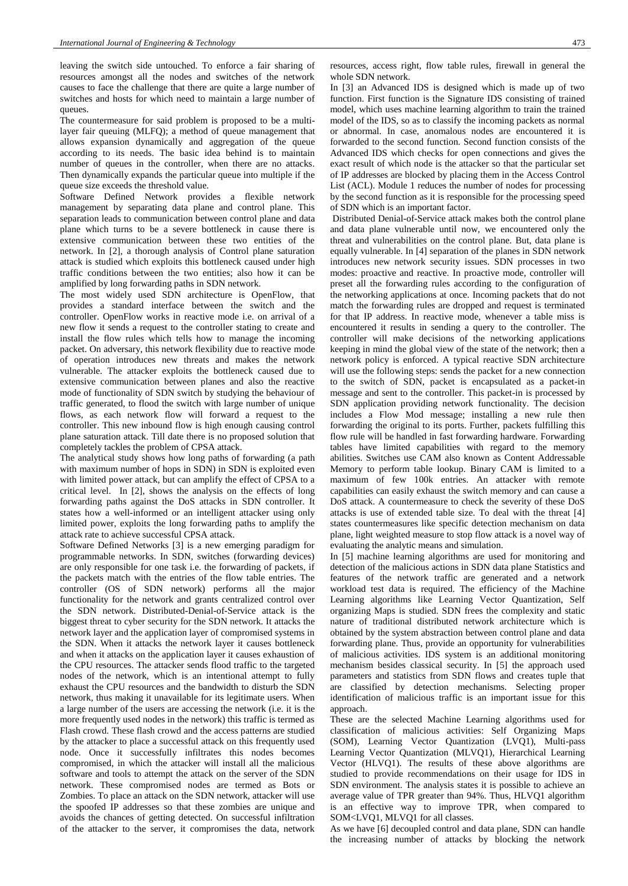leaving the switch side untouched. To enforce a fair sharing of resources amongst all the nodes and switches of the network causes to face the challenge that there are quite a large number of switches and hosts for which need to maintain a large number of queues.

The countermeasure for said problem is proposed to be a multilayer fair queuing (MLFQ); a method of queue management that allows expansion dynamically and aggregation of the queue according to its needs. The basic idea behind is to maintain number of queues in the controller, when there are no attacks. Then dynamically expands the particular queue into multiple if the queue size exceeds the threshold value.

Software Defined Network provides a flexible network management by separating data plane and control plane. This separation leads to communication between control plane and data plane which turns to be a severe bottleneck in cause there is extensive communication between these two entities of the network. In [2], a thorough analysis of Control plane saturation attack is studied which exploits this bottleneck caused under high traffic conditions between the two entities; also how it can be amplified by long forwarding paths in SDN network.

The most widely used SDN architecture is OpenFlow, that provides a standard interface between the switch and the controller. OpenFlow works in reactive mode i.e. on arrival of a new flow it sends a request to the controller stating to create and install the flow rules which tells how to manage the incoming packet. On adversary, this network flexibility due to reactive mode of operation introduces new threats and makes the network vulnerable. The attacker exploits the bottleneck caused due to extensive communication between planes and also the reactive mode of functionality of SDN switch by studying the behaviour of traffic generated, to flood the switch with large number of unique flows, as each network flow will forward a request to the controller. This new inbound flow is high enough causing control plane saturation attack. Till date there is no proposed solution that completely tackles the problem of CPSA attack.

The analytical study shows how long paths of forwarding (a path with maximum number of hops in SDN) in SDN is exploited even with limited power attack, but can amplify the effect of CPSA to a critical level. In [2], shows the analysis on the effects of long forwarding paths against the DoS attacks in SDN controller. It states how a well-informed or an intelligent attacker using only limited power, exploits the long forwarding paths to amplify the attack rate to achieve successful CPSA attack.

Software Defined Networks [3] is a new emerging paradigm for programmable networks. In SDN, switches (forwarding devices) are only responsible for one task i.e. the forwarding of packets, if the packets match with the entries of the flow table entries. The controller (OS of SDN network) performs all the major functionality for the network and grants centralized control over the SDN network. Distributed-Denial-of-Service attack is the biggest threat to cyber security for the SDN network. It attacks the network layer and the application layer of compromised systems in the SDN. When it attacks the network layer it causes bottleneck and when it attacks on the application layer it causes exhaustion of the CPU resources. The attacker sends flood traffic to the targeted nodes of the network, which is an intentional attempt to fully exhaust the CPU resources and the bandwidth to disturb the SDN network, thus making it unavailable for its legitimate users. When a large number of the users are accessing the network (i.e. it is the more frequently used nodes in the network) this traffic is termed as Flash crowd. These flash crowd and the access patterns are studied by the attacker to place a successful attack on this frequently used node. Once it successfully infiltrates this nodes becomes compromised, in which the attacker will install all the malicious software and tools to attempt the attack on the server of the SDN network. These compromised nodes are termed as Bots or Zombies. To place an attack on the SDN network, attacker will use the spoofed IP addresses so that these zombies are unique and avoids the chances of getting detected. On successful infiltration of the attacker to the server, it compromises the data, network resources, access right, flow table rules, firewall in general the whole SDN network.

In [3] an Advanced IDS is designed which is made up of two function. First function is the Signature IDS consisting of trained model, which uses machine learning algorithm to train the trained model of the IDS, so as to classify the incoming packets as normal or abnormal. In case, anomalous nodes are encountered it is forwarded to the second function. Second function consists of the Advanced IDS which checks for open connections and gives the exact result of which node is the attacker so that the particular set of IP addresses are blocked by placing them in the Access Control List (ACL). Module 1 reduces the number of nodes for processing by the second function as it is responsible for the processing speed of SDN which is an important factor.

Distributed Denial-of-Service attack makes both the control plane and data plane vulnerable until now, we encountered only the threat and vulnerabilities on the control plane. But, data plane is equally vulnerable. In [4] separation of the planes in SDN network introduces new network security issues. SDN processes in two modes: proactive and reactive. In proactive mode, controller will preset all the forwarding rules according to the configuration of the networking applications at once. Incoming packets that do not match the forwarding rules are dropped and request is terminated for that IP address. In reactive mode, whenever a table miss is encountered it results in sending a query to the controller. The controller will make decisions of the networking applications keeping in mind the global view of the state of the network; then a network policy is enforced. A typical reactive SDN architecture will use the following steps: sends the packet for a new connection to the switch of SDN, packet is encapsulated as a packet-in message and sent to the controller. This packet-in is processed by SDN application providing network functionality. The decision includes a Flow Mod message; installing a new rule then forwarding the original to its ports. Further, packets fulfilling this flow rule will be handled in fast forwarding hardware. Forwarding tables have limited capabilities with regard to the memory abilities. Switches use CAM also known as Content Addressable Memory to perform table lookup. Binary CAM is limited to a maximum of few 100k entries. An attacker with remote capabilities can easily exhaust the switch memory and can cause a DoS attack. A countermeasure to check the severity of these DoS attacks is use of extended table size. To deal with the threat [4] states countermeasures like specific detection mechanism on data plane, light weighted measure to stop flow attack is a novel way of evaluating the analytic means and simulation.

In [5] machine learning algorithms are used for monitoring and detection of the malicious actions in SDN data plane Statistics and features of the network traffic are generated and a network workload test data is required. The efficiency of the Machine Learning algorithms like Learning Vector Quantization, Self organizing Maps is studied. SDN frees the complexity and static nature of traditional distributed network architecture which is obtained by the system abstraction between control plane and data forwarding plane. Thus, provide an opportunity for vulnerabilities of malicious activities. IDS system is an additional monitoring mechanism besides classical security. In [5] the approach used parameters and statistics from SDN flows and creates tuple that are classified by detection mechanisms. Selecting proper identification of malicious traffic is an important issue for this approach.

These are the selected Machine Learning algorithms used for classification of malicious activities: Self Organizing Maps (SOM), Learning Vector Quantization (LVQ1), Multi-pass Learning Vector Quantization (MLVQ1), Hierarchical Learning Vector (HLVQ1). The results of these above algorithms are studied to provide recommendations on their usage for IDS in SDN environment. The analysis states it is possible to achieve an average value of TPR greater than 94%. Thus, HLVQ1 algorithm is an effective way to improve TPR, when compared to SOM<LVQ1, MLVQ1 for all classes.

As we have [6] decoupled control and data plane, SDN can handle the increasing number of attacks by blocking the network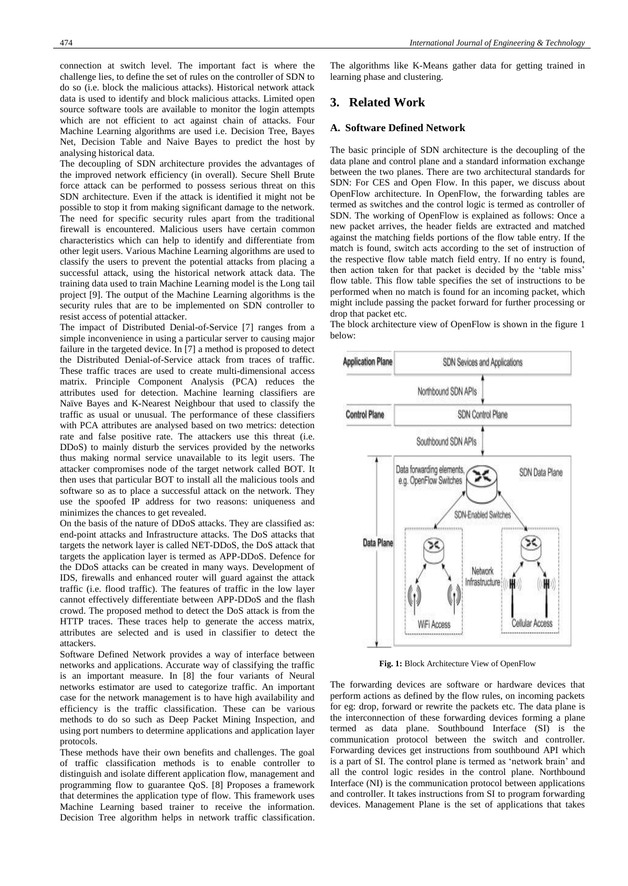The decoupling of SDN architecture provides the advantages of the improved network efficiency (in overall). Secure Shell Brute force attack can be performed to possess serious threat on this SDN architecture. Even if the attack is identified it might not be possible to stop it from making significant damage to the network. The need for specific security rules apart from the traditional firewall is encountered. Malicious users have certain common characteristics which can help to identify and differentiate from other legit users. Various Machine Learning algorithms are used to classify the users to prevent the potential attacks from placing a successful attack, using the historical network attack data. The training data used to train Machine Learning model is the Long tail project [9]. The output of the Machine Learning algorithms is the security rules that are to be implemented on SDN controller to resist access of potential attacker.

The impact of Distributed Denial-of-Service [7] ranges from a simple inconvenience in using a particular server to causing major failure in the targeted device. In [7] a method is proposed to detect the Distributed Denial-of-Service attack from traces of traffic. These traffic traces are used to create multi-dimensional access matrix. Principle Component Analysis (PCA) reduces the attributes used for detection. Machine learning classifiers are Naïve Bayes and K-Nearest Neighbour that used to classify the traffic as usual or unusual. The performance of these classifiers with PCA attributes are analysed based on two metrics: detection rate and false positive rate. The attackers use this threat (i.e. DDoS) to mainly disturb the services provided by the networks thus making normal service unavailable to its legit users. The attacker compromises node of the target network called BOT. It then uses that particular BOT to install all the malicious tools and software so as to place a successful attack on the network. They use the spoofed IP address for two reasons: uniqueness and minimizes the chances to get revealed.

On the basis of the nature of DDoS attacks. They are classified as: end-point attacks and Infrastructure attacks. The DoS attacks that targets the network layer is called NET-DDoS, the DoS attack that targets the application layer is termed as APP-DDoS. Defence for the DDoS attacks can be created in many ways. Development of IDS, firewalls and enhanced router will guard against the attack traffic (i.e. flood traffic). The features of traffic in the low layer cannot effectively differentiate between APP-DDoS and the flash crowd. The proposed method to detect the DoS attack is from the HTTP traces. These traces help to generate the access matrix, attributes are selected and is used in classifier to detect the attackers.

Software Defined Network provides a way of interface between networks and applications. Accurate way of classifying the traffic is an important measure. In [8] the four variants of Neural networks estimator are used to categorize traffic. An important case for the network management is to have high availability and efficiency is the traffic classification. These can be various methods to do so such as Deep Packet Mining Inspection, and using port numbers to determine applications and application layer protocols.

These methods have their own benefits and challenges. The goal of traffic classification methods is to enable controller to distinguish and isolate different application flow, management and programming flow to guarantee QoS. [8] Proposes a framework that determines the application type of flow. This framework uses Machine Learning based trainer to receive the information. Decision Tree algorithm helps in network traffic classification.

The algorithms like K-Means gather data for getting trained in learning phase and clustering.

# **3. Related Work**

## **A. Software Defined Network**

The basic principle of SDN architecture is the decoupling of the data plane and control plane and a standard information exchange between the two planes. There are two architectural standards for SDN: For CES and Open Flow. In this paper, we discuss about OpenFlow architecture. In OpenFlow, the forwarding tables are termed as switches and the control logic is termed as controller of SDN. The working of OpenFlow is explained as follows: Once a new packet arrives, the header fields are extracted and matched against the matching fields portions of the flow table entry. If the match is found, switch acts according to the set of instruction of the respective flow table match field entry. If no entry is found, then action taken for that packet is decided by the 'table miss' flow table. This flow table specifies the set of instructions to be performed when no match is found for an incoming packet, which might include passing the packet forward for further processing or drop that packet etc.

The block architecture view of OpenFlow is shown in the figure 1 below:



**Fig. 1:** Block Architecture View of OpenFlow

The forwarding devices are software or hardware devices that perform actions as defined by the flow rules, on incoming packets for eg: drop, forward or rewrite the packets etc. The data plane is the interconnection of these forwarding devices forming a plane termed as data plane. Southbound Interface (SI) is the communication protocol between the switch and controller. Forwarding devices get instructions from southbound API which is a part of SI. The control plane is termed as 'network brain' and all the control logic resides in the control plane. Northbound Interface (NI) is the communication protocol between applications and controller. It takes instructions from SI to program forwarding devices. Management Plane is the set of applications that takes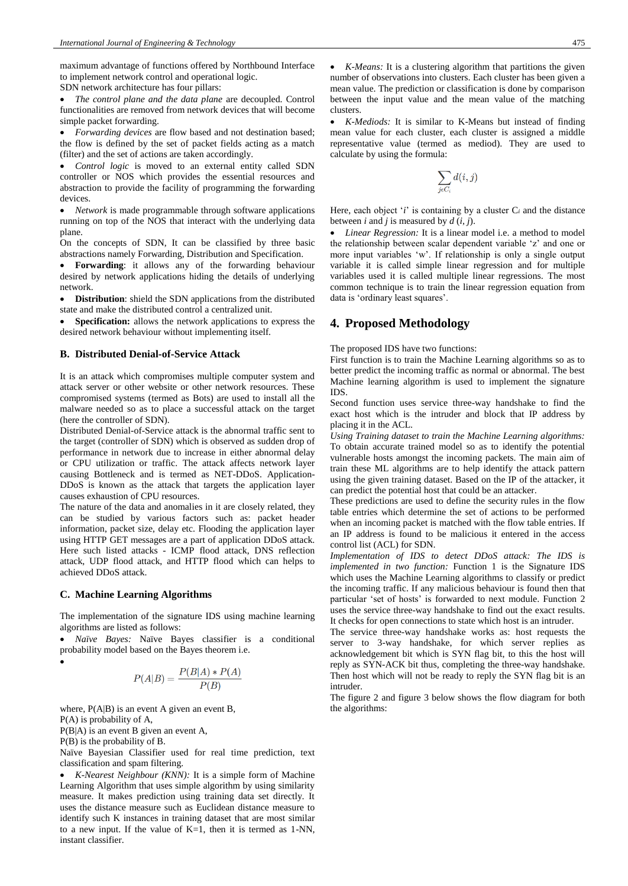maximum advantage of functions offered by Northbound Interface to implement network control and operational logic.

SDN network architecture has four pillars:

• *The control plane and the data plane* are decoupled. Control functionalities are removed from network devices that will become simple packet forwarding.

• *Forwarding devices* are flow based and not destination based; the flow is defined by the set of packet fields acting as a match (filter) and the set of actions are taken accordingly.

• *Control logic* is moved to an external entity called SDN controller or NOS which provides the essential resources and abstraction to provide the facility of programming the forwarding devices.

• *Network* is made programmable through software applications running on top of the NOS that interact with the underlying data plane.

On the concepts of SDN, It can be classified by three basic abstractions namely Forwarding, Distribution and Specification.

• **Forwarding**: it allows any of the forwarding behaviour desired by network applications hiding the details of underlying network.

• **Distribution**: shield the SDN applications from the distributed state and make the distributed control a centralized unit.

• **Specification:** allows the network applications to express the desired network behaviour without implementing itself.

#### **B. Distributed Denial-of-Service Attack**

It is an attack which compromises multiple computer system and attack server or other website or other network resources. These compromised systems (termed as Bots) are used to install all the malware needed so as to place a successful attack on the target (here the controller of SDN).

Distributed Denial-of-Service attack is the abnormal traffic sent to the target (controller of SDN) which is observed as sudden drop of performance in network due to increase in either abnormal delay or CPU utilization or traffic. The attack affects network layer causing Bottleneck and is termed as NET-DDoS. Application-DDoS is known as the attack that targets the application layer causes exhaustion of CPU resources.

The nature of the data and anomalies in it are closely related, they can be studied by various factors such as: packet header information, packet size, delay etc. Flooding the application layer using HTTP GET messages are a part of application DDoS attack. Here such listed attacks - ICMP flood attack, DNS reflection attack, UDP flood attack, and HTTP flood which can helps to achieved DDoS attack.

#### **C. Machine Learning Algorithms**

The implementation of the signature IDS using machine learning algorithms are listed as follows:

• *Naïve Bayes:* Naïve Bayes classifier is a conditional probability model based on the Bayes theorem i.e.

$$
P(A|B) = \frac{P(B|A) * P(A)}{P(B)}
$$

where,  $P(A|B)$  is an event A given an event B,

P(A) is probability of A,

•

P(B|A) is an event B given an event A,

P(B) is the probability of B.

Naïve Bayesian Classifier used for real time prediction, text classification and spam filtering.

• *K-Nearest Neighbour (KNN):* It is a simple form of Machine Learning Algorithm that uses simple algorithm by using similarity measure. It makes prediction using training data set directly. It uses the distance measure such as Euclidean distance measure to identify such K instances in training dataset that are most similar to a new input. If the value of  $K=1$ , then it is termed as 1-NN, instant classifier.

• *K-Mediods:* It is similar to K-Means but instead of finding mean value for each cluster, each cluster is assigned a middle representative value (termed as mediod). They are used to calculate by using the formula:

$$
\sum_{j\epsilon C_i} d(i,j)
$$

Here, each object '*i*' is containing by a cluster  $C_i$  and the distance between *i* and *j* is measured by  $d(i, j)$ .

• *Linear Regression:* It is a linear model i.e. a method to model the relationship between scalar dependent variable 'z' and one or more input variables 'w'. If relationship is only a single output variable it is called simple linear regression and for multiple variables used it is called multiple linear regressions. The most common technique is to train the linear regression equation from data is 'ordinary least squares'.

# **4. Proposed Methodology**

The proposed IDS have two functions:

First function is to train the Machine Learning algorithms so as to better predict the incoming traffic as normal or abnormal. The best Machine learning algorithm is used to implement the signature IDS.

Second function uses service three-way handshake to find the exact host which is the intruder and block that IP address by placing it in the ACL.

*Using Training dataset to train the Machine Learning algorithms:* To obtain accurate trained model so as to identify the potential vulnerable hosts amongst the incoming packets. The main aim of train these ML algorithms are to help identify the attack pattern using the given training dataset. Based on the IP of the attacker, it can predict the potential host that could be an attacker.

These predictions are used to define the security rules in the flow table entries which determine the set of actions to be performed when an incoming packet is matched with the flow table entries. If an IP address is found to be malicious it entered in the access control list (ACL) for SDN.

*Implementation of IDS to detect DDoS attack: The IDS is implemented in two function:* Function 1 is the Signature IDS which uses the Machine Learning algorithms to classify or predict the incoming traffic. If any malicious behaviour is found then that particular 'set of hosts' is forwarded to next module. Function 2 uses the service three-way handshake to find out the exact results. It checks for open connections to state which host is an intruder.

The service three-way handshake works as: host requests the server to 3-way handshake, for which server replies as acknowledgement bit which is SYN flag bit, to this the host will reply as SYN-ACK bit thus, completing the three-way handshake. Then host which will not be ready to reply the SYN flag bit is an intruder.

The figure 2 and figure 3 below shows the flow diagram for both the algorithms: